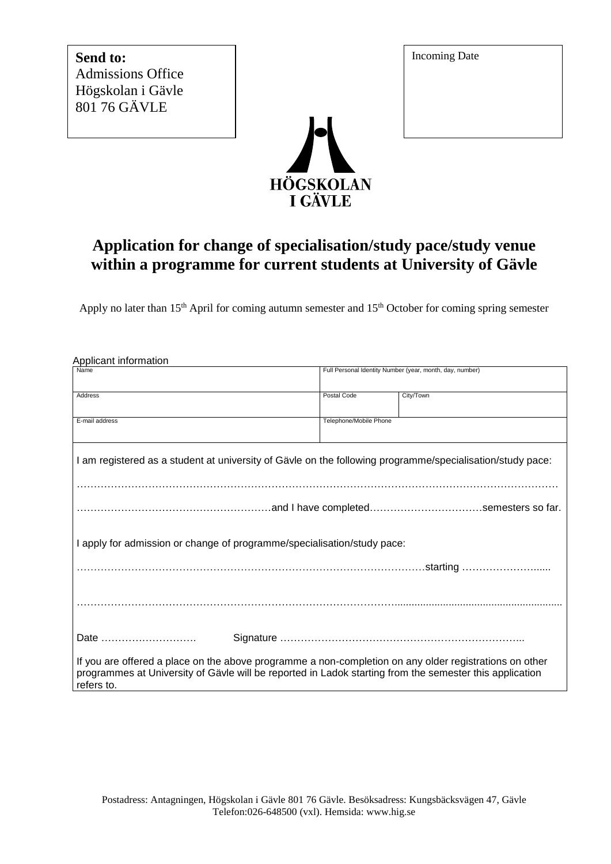**Send to:** Admissions Office Högskolan i Gävle 801 76 GÄVLE



## **Application for change of specialisation/study pace/study venue within a programme for current students at University of Gävle**

Apply no later than 15<sup>th</sup> April for coming autumn semester and 15<sup>th</sup> October for coming spring semester

| Applicant information                                                                                                                                                                                                           |                                                          |           |  |  |  |  |
|---------------------------------------------------------------------------------------------------------------------------------------------------------------------------------------------------------------------------------|----------------------------------------------------------|-----------|--|--|--|--|
| Name                                                                                                                                                                                                                            | Full Personal Identity Number (year, month, day, number) |           |  |  |  |  |
| <b>Address</b>                                                                                                                                                                                                                  | Postal Code                                              | City/Town |  |  |  |  |
| E-mail address                                                                                                                                                                                                                  | Telephone/Mobile Phone                                   |           |  |  |  |  |
| I am registered as a student at university of Gävle on the following programme/specialisation/study pace:                                                                                                                       |                                                          |           |  |  |  |  |
|                                                                                                                                                                                                                                 |                                                          |           |  |  |  |  |
| I apply for admission or change of programme/specialisation/study pace:                                                                                                                                                         |                                                          |           |  |  |  |  |
|                                                                                                                                                                                                                                 |                                                          |           |  |  |  |  |
|                                                                                                                                                                                                                                 |                                                          |           |  |  |  |  |
| Date                                                                                                                                                                                                                            |                                                          |           |  |  |  |  |
| If you are offered a place on the above programme a non-completion on any older registrations on other<br>programmes at University of Gävle will be reported in Ladok starting from the semester this application<br>refers to. |                                                          |           |  |  |  |  |

Incoming Date